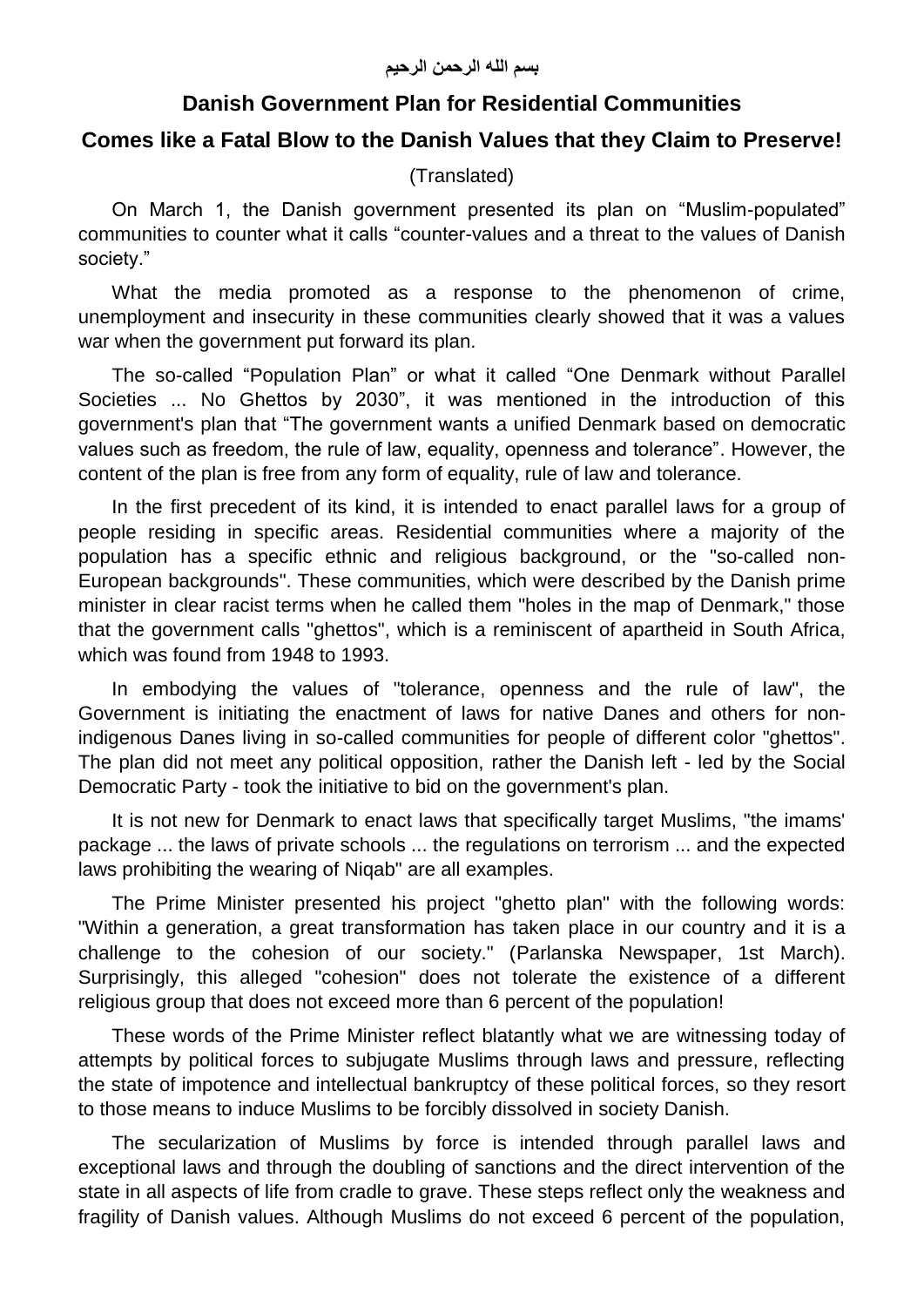## **Danish Government Plan for Residential Communities**

## **Comes like a Fatal Blow to the Danish Values that they Claim to Preserve!**

(Translated)

On March 1, the Danish government presented its plan on "Muslim-populated" communities to counter what it calls "counter-values and a threat to the values of Danish society."

What the media promoted as a response to the phenomenon of crime, unemployment and insecurity in these communities clearly showed that it was a values war when the government put forward its plan.

The so-called "Population Plan" or what it called "One Denmark without Parallel Societies ... No Ghettos by 2030", it was mentioned in the introduction of this government's plan that "The government wants a unified Denmark based on democratic values such as freedom, the rule of law, equality, openness and tolerance". However, the content of the plan is free from any form of equality, rule of law and tolerance.

In the first precedent of its kind, it is intended to enact parallel laws for a group of people residing in specific areas. Residential communities where a majority of the population has a specific ethnic and religious background, or the "so-called non-European backgrounds". These communities, which were described by the Danish prime minister in clear racist terms when he called them "holes in the map of Denmark," those that the government calls "ghettos", which is a reminiscent of apartheid in South Africa, which was found from 1948 to 1993.

In embodying the values of "tolerance, openness and the rule of law", the Government is initiating the enactment of laws for native Danes and others for nonindigenous Danes living in so-called communities for people of different color "ghettos". The plan did not meet any political opposition, rather the Danish left - led by the Social Democratic Party - took the initiative to bid on the government's plan.

It is not new for Denmark to enact laws that specifically target Muslims, "the imams' package ... the laws of private schools ... the regulations on terrorism ... and the expected laws prohibiting the wearing of Niqab" are all examples.

The Prime Minister presented his project "ghetto plan" with the following words: "Within a generation, a great transformation has taken place in our country and it is a challenge to the cohesion of our society." (Parlanska Newspaper, 1st March). Surprisingly, this alleged "cohesion" does not tolerate the existence of a different religious group that does not exceed more than 6 percent of the population!

These words of the Prime Minister reflect blatantly what we are witnessing today of attempts by political forces to subjugate Muslims through laws and pressure, reflecting the state of impotence and intellectual bankruptcy of these political forces, so they resort to those means to induce Muslims to be forcibly dissolved in society Danish.

The secularization of Muslims by force is intended through parallel laws and exceptional laws and through the doubling of sanctions and the direct intervention of the state in all aspects of life from cradle to grave. These steps reflect only the weakness and fragility of Danish values. Although Muslims do not exceed 6 percent of the population,